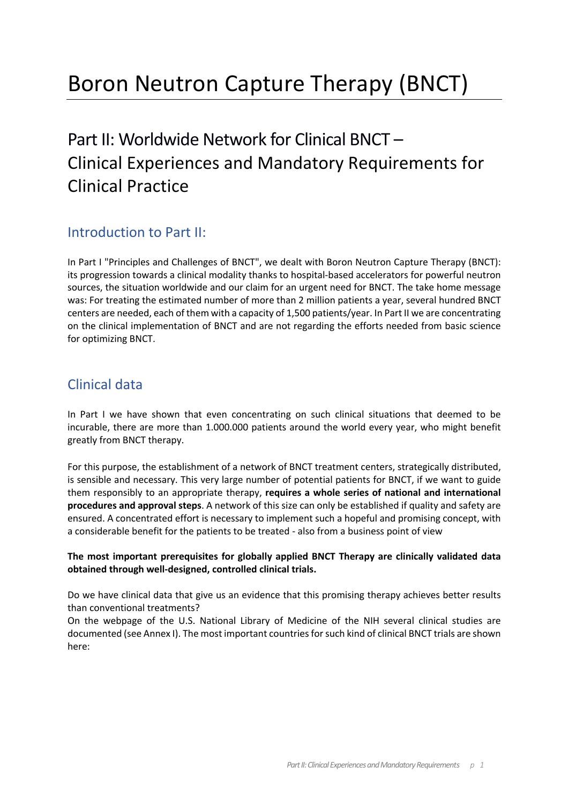# Boron Neutron Capture Therapy (BNCT)

# Part II: Worldwide Network for Clinical BNCT – Clinical Experiences and Mandatory Requirements for Clinical Practice

# Introduction to Part II:

In Part I "Principles and Challenges of BNCT", we dealt with Boron Neutron Capture Therapy (BNCT): its progression towards a clinical modality thanks to hospital-based accelerators for powerful neutron sources, the situation worldwide and our claim for an urgent need for BNCT. The take home message was: For treating the estimated number of more than 2 million patients a year, several hundred BNCT centers are needed, each of them with a capacity of 1,500 patients/year. In Part II we are concentrating on the clinical implementation of BNCT and are not regarding the efforts needed from basic science for optimizing BNCT.

# Clinical data

In Part I we have shown that even concentrating on such clinical situations that deemed to be incurable, there are more than 1.000.000 patients around the world every year, who might benefit greatly from BNCT therapy.

For this purpose, the establishment of a network of BNCT treatment centers, strategically distributed, is sensible and necessary. This very large number of potential patients for BNCT, if we want to guide them responsibly to an appropriate therapy, **requires a whole series of national and international procedures and approval steps**. A network of this size can only be established if quality and safety are ensured. A concentrated effort is necessary to implement such a hopeful and promising concept, with a considerable benefit for the patients to be treated - also from a business point of view

#### **The most important prerequisites for globally applied BNCT Therapy are clinically validated data obtained through well-designed, controlled clinical trials.**

Do we have clinical data that give us an evidence that this promising therapy achieves better results than conventional treatments?

On the webpage of the U.S. National Library of Medicine of the NIH several clinical studies are documented (see Annex I). The most important countries forsuch kind of clinical BNCT trials are shown here: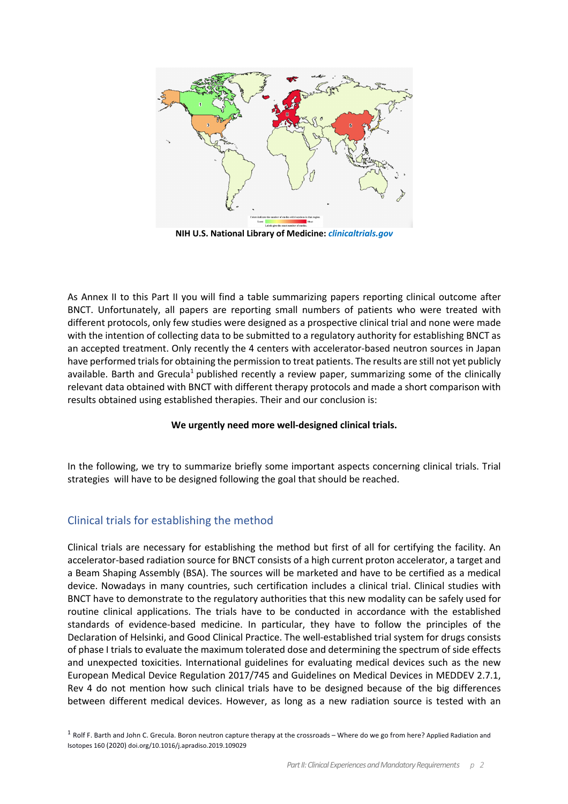

**NIH U.S. National Library of Medicine:** *clinicaltrials.gov*

As Annex II to this Part II you will find a table summarizing papers reporting clinical outcome after BNCT. Unfortunately, all papers are reporting small numbers of patients who were treated with different protocols, only few studies were designed as a prospective clinical trial and none were made with the intention of collecting data to be submitted to a regulatory authority for establishing BNCT as an accepted treatment. Only recently the 4 centers with accelerator-based neutron sources in Japan have performed trials for obtaining the permission to treat patients. The results are still not yet publicly available. Barth and Grecula<sup>1</sup> published recently a review paper, summarizing some of the clinically relevant data obtained with BNCT with different therapy protocols and made a short comparison with results obtained using established therapies. Their and our conclusion is:

#### **We urgently need more well-designed clinical trials.**

In the following, we try to summarize briefly some important aspects concerning clinical trials. Trial strategies will have to be designed following the goal that should be reached.

## Clinical trials for establishing the method

Clinical trials are necessary for establishing the method but first of all for certifying the facility. An accelerator-based radiation source for BNCT consists of a high current proton accelerator, a target and a Beam Shaping Assembly (BSA). The sources will be marketed and have to be certified as a medical device. Nowadays in many countries, such certification includes a clinical trial. Clinical studies with BNCT have to demonstrate to the regulatory authorities that this new modality can be safely used for routine clinical applications. The trials have to be conducted in accordance with the established standards of evidence-based medicine. In particular, they have to follow the principles of the Declaration of Helsinki, and Good Clinical Practice. The well-established trial system for drugs consists of phase I trials to evaluate the maximum tolerated dose and determining the spectrum of side effects and unexpected toxicities. International guidelines for evaluating medical devices such as the new European Medical Device Regulation 2017/745 and Guidelines on Medical Devices in MEDDEV 2.7.1, Rev 4 do not mention how such clinical trials have to be designed because of the big differences between different medical devices. However, as long as a new radiation source is tested with an

 $1$  Rolf F. Barth and John C. Grecula. Boron neutron capture therapy at the crossroads – Where do we go from here? Applied Radiation and Isotopes 160 (2020) doi.org/10.1016/j.apradiso.2019.109029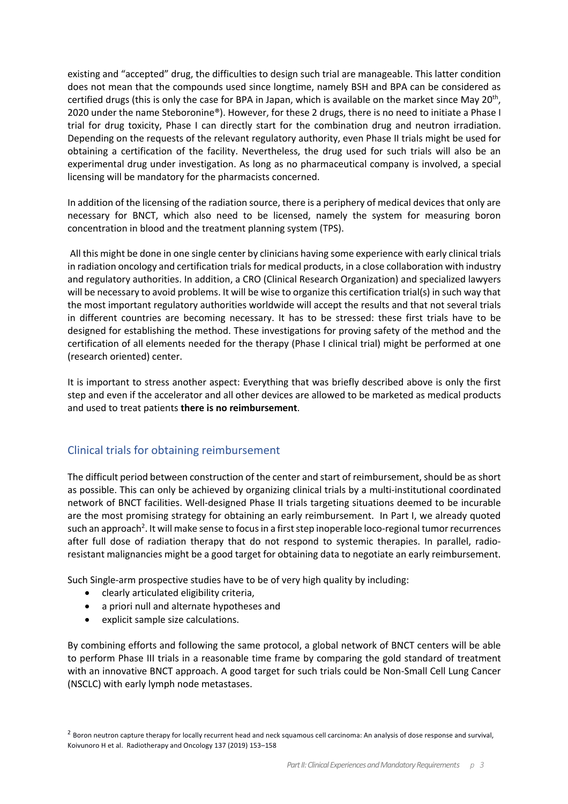existing and "accepted" drug, the difficulties to design such trial are manageable. This latter condition does not mean that the compounds used since longtime, namely BSH and BPA can be considered as certified drugs (this is only the case for BPA in Japan, which is available on the market since May  $20<sup>th</sup>$ , 2020 under the name Steboronine®). However, for these 2 drugs, there is no need to initiate a Phase I trial for drug toxicity, Phase I can directly start for the combination drug and neutron irradiation. Depending on the requests of the relevant regulatory authority, even Phase II trials might be used for obtaining a certification of the facility. Nevertheless, the drug used for such trials will also be an experimental drug under investigation. As long as no pharmaceutical company is involved, a special licensing will be mandatory for the pharmacists concerned.

In addition of the licensing of the radiation source, there is a periphery of medical devices that only are necessary for BNCT, which also need to be licensed, namely the system for measuring boron concentration in blood and the treatment planning system (TPS).

All this might be done in one single center by clinicians having some experience with early clinical trials in radiation oncology and certification trials for medical products, in a close collaboration with industry and regulatory authorities. In addition, a CRO (Clinical Research Organization) and specialized lawyers will be necessary to avoid problems. It will be wise to organize this certification trial(s) in such way that the most important regulatory authorities worldwide will accept the results and that not several trials in different countries are becoming necessary. It has to be stressed: these first trials have to be designed for establishing the method. These investigations for proving safety of the method and the certification of all elements needed for the therapy (Phase I clinical trial) might be performed at one (research oriented) center.

It is important to stress another aspect: Everything that was briefly described above is only the first step and even if the accelerator and all other devices are allowed to be marketed as medical products and used to treat patients **there is no reimbursement**.

## Clinical trials for obtaining reimbursement

The difficult period between construction of the center and start of reimbursement, should be as short as possible. This can only be achieved by organizing clinical trials by a multi-institutional coordinated network of BNCT facilities. Well-designed Phase II trials targeting situations deemed to be incurable are the most promising strategy for obtaining an early reimbursement. In Part I, we already quoted such an approach<sup>2</sup>. It will make sense to focus in a first step inoperable loco-regional tumor recurrences after full dose of radiation therapy that do not respond to systemic therapies. In parallel, radioresistant malignancies might be a good target for obtaining data to negotiate an early reimbursement.

Such Single-arm prospective studies have to be of very high quality by including:

- clearly articulated eligibility criteria,
- a priori null and alternate hypotheses and
- explicit sample size calculations.

By combining efforts and following the same protocol, a global network of BNCT centers will be able to perform Phase III trials in a reasonable time frame by comparing the gold standard of treatment with an innovative BNCT approach. A good target for such trials could be Non-Small Cell Lung Cancer (NSCLC) with early lymph node metastases.

 $2$  Boron neutron capture therapy for locally recurrent head and neck squamous cell carcinoma: An analysis of dose response and survival, Koivunoro H et al. Radiotherapy and Oncology 137 (2019) 153–158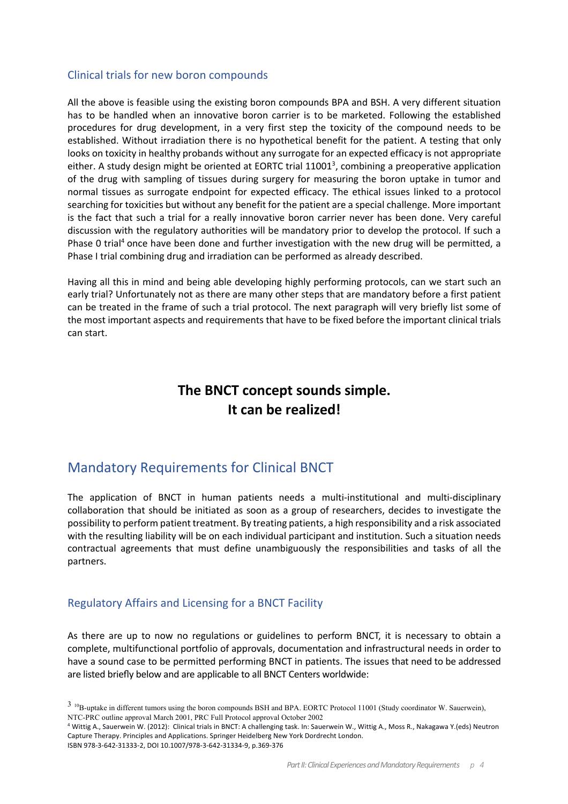#### Clinical trials for new boron compounds

All the above is feasible using the existing boron compounds BPA and BSH. A very different situation has to be handled when an innovative boron carrier is to be marketed. Following the established procedures for drug development, in a very first step the toxicity of the compound needs to be established. Without irradiation there is no hypothetical benefit for the patient. A testing that only looks on toxicity in healthy probands without any surrogate for an expected efficacy is not appropriate either. A study design might be oriented at EORTC trial 11001<sup>3</sup>, combining a preoperative application of the drug with sampling of tissues during surgery for measuring the boron uptake in tumor and normal tissues as surrogate endpoint for expected efficacy. The ethical issues linked to a protocol searching for toxicities but without any benefit for the patient are a special challenge. More important is the fact that such a trial for a really innovative boron carrier never has been done. Very careful discussion with the regulatory authorities will be mandatory prior to develop the protocol. If such a Phase 0 trial<sup>4</sup> once have been done and further investigation with the new drug will be permitted, a Phase I trial combining drug and irradiation can be performed as already described.

Having all this in mind and being able developing highly performing protocols, can we start such an early trial? Unfortunately not as there are many other steps that are mandatory before a first patient can be treated in the frame of such a trial protocol. The next paragraph will very briefly list some of the most important aspects and requirements that have to be fixed before the important clinical trials can start.

# **The BNCT concept sounds simple. It can be realized!**

# Mandatory Requirements for Clinical BNCT

The application of BNCT in human patients needs a multi-institutional and multi-disciplinary collaboration that should be initiated as soon as a group of researchers, decides to investigate the possibility to perform patient treatment. By treating patients, a high responsibility and a risk associated with the resulting liability will be on each individual participant and institution. Such a situation needs contractual agreements that must define unambiguously the responsibilities and tasks of all the partners.

## Regulatory Affairs and Licensing for a BNCT Facility

As there are up to now no regulations or guidelines to perform BNCT, it is necessary to obtain a complete, multifunctional portfolio of approvals, documentation and infrastructural needs in order to have a sound case to be permitted performing BNCT in patients. The issues that need to be addressed are listed briefly below and are applicable to all BNCT Centers worldwide:

ISBN 978-3-642-31333-2, DOI 10.1007/978-3-642-31334-9, p.369-376

 $3\,$  10B-uptake in different tumors using the boron compounds BSH and BPA. EORTC Protocol 11001 (Study coordinator W. Sauerwein), NTC-PRC outline approval March 2001, PRC Full Protocol approval October 2002

<sup>4</sup> Wittig A., Sauerwein W. (2012): Clinical trials in BNCT: A challenging task. In: Sauerwein W., Wittig A., Moss R., Nakagawa Y.(eds) Neutron Capture Therapy. Principles and Applications. Springer Heidelberg New York Dordrecht London.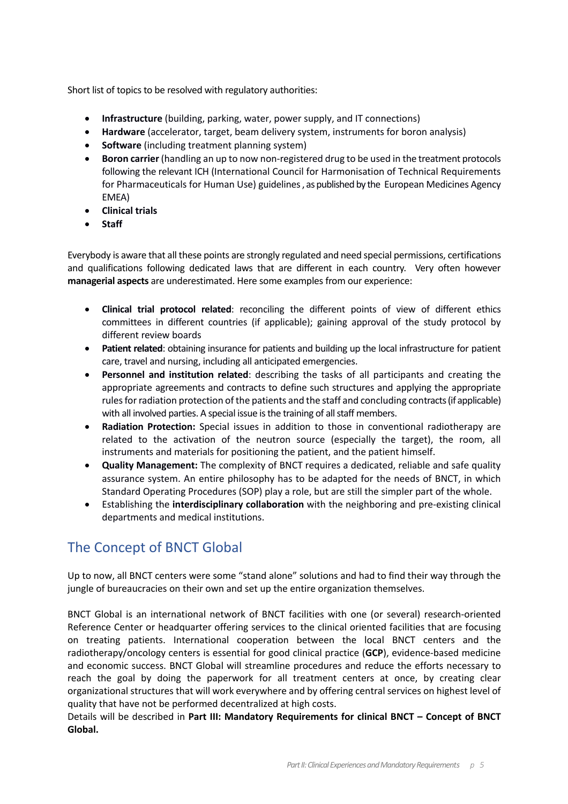Short list of topics to be resolved with regulatory authorities:

- **Infrastructure** (building, parking, water, power supply, and IT connections)
- **Hardware** (accelerator, target, beam delivery system, instruments for boron analysis)
- **Software** (including treatment planning system)
- **Boron carrier** (handling an up to now non-registered drug to be used in the treatment protocols following the relevant ICH (International Council for Harmonisation of Technical Requirements for Pharmaceuticals for Human Use) guidelines, as published by the European Medicines Agency EMEA)
- **Clinical trials**
- **Staff**

Everybody is aware that all these points are strongly regulated and need special permissions, certifications and qualifications following dedicated laws that are different in each country. Very often however **managerial aspects** are underestimated. Here some examples from our experience:

- **Clinical trial protocol related**: reconciling the different points of view of different ethics committees in different countries (if applicable); gaining approval of the study protocol by different review boards
- **Patient related**: obtaining insurance for patients and building up the local infrastructure for patient care, travel and nursing, including all anticipated emergencies.
- **Personnel and institution related**: describing the tasks of all participants and creating the appropriate agreements and contracts to define such structures and applying the appropriate rules for radiation protection of the patients and the staff and concluding contracts (if applicable) with all involved parties. A special issue is the training of all staff members.
- **Radiation Protection:** Special issues in addition to those in conventional radiotherapy are related to the activation of the neutron source (especially the target), the room, all instruments and materials for positioning the patient, and the patient himself.
- **Quality Management:** The complexity of BNCT requires a dedicated, reliable and safe quality assurance system. An entire philosophy has to be adapted for the needs of BNCT, in which Standard Operating Procedures (SOP) play a role, but are still the simpler part of the whole.
- Establishing the **interdisciplinary collaboration** with the neighboring and pre-existing clinical departments and medical institutions.

# The Concept of BNCT Global

Up to now, all BNCT centers were some "stand alone" solutions and had to find their way through the jungle of bureaucracies on their own and set up the entire organization themselves.

BNCT Global is an international network of BNCT facilities with one (or several) research-oriented Reference Center or headquarter offering services to the clinical oriented facilities that are focusing on treating patients. International cooperation between the local BNCT centers and the radiotherapy/oncology centers is essential for good clinical practice (**GCP**), evidence-based medicine and economic success. BNCT Global will streamline procedures and reduce the efforts necessary to reach the goal by doing the paperwork for all treatment centers at once, by creating clear organizational structures that will work everywhere and by offering central services on highest level of quality that have not be performed decentralized at high costs.

Details will be described in **Part III: Mandatory Requirements for clinical BNCT – Concept of BNCT Global.**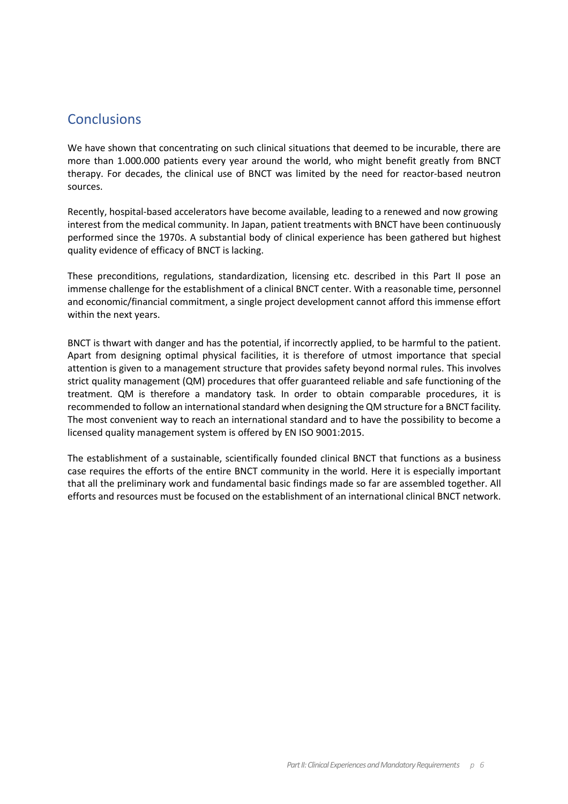# **Conclusions**

We have shown that concentrating on such clinical situations that deemed to be incurable, there are more than 1.000.000 patients every year around the world, who might benefit greatly from BNCT therapy. For decades, the clinical use of BNCT was limited by the need for reactor-based neutron sources.

Recently, hospital-based accelerators have become available, leading to a renewed and now growing interest from the medical community. In Japan, patient treatments with BNCT have been continuously performed since the 1970s. A substantial body of clinical experience has been gathered but highest quality evidence of efficacy of BNCT is lacking.

These preconditions, regulations, standardization, licensing etc. described in this Part II pose an immense challenge for the establishment of a clinical BNCT center. With a reasonable time, personnel and economic/financial commitment, a single project development cannot afford this immense effort within the next years.

BNCT is thwart with danger and has the potential, if incorrectly applied, to be harmful to the patient. Apart from designing optimal physical facilities, it is therefore of utmost importance that special attention is given to a management structure that provides safety beyond normal rules. This involves strict quality management (QM) procedures that offer guaranteed reliable and safe functioning of the treatment. QM is therefore a mandatory task. In order to obtain comparable procedures, it is recommended to follow an international standard when designing the QM structure for a BNCT facility. The most convenient way to reach an international standard and to have the possibility to become a licensed quality management system is offered by EN ISO 9001:2015.

The establishment of a sustainable, scientifically founded clinical BNCT that functions as a business case requires the efforts of the entire BNCT community in the world. Here it is especially important that all the preliminary work and fundamental basic findings made so far are assembled together. All efforts and resources must be focused on the establishment of an international clinical BNCT network.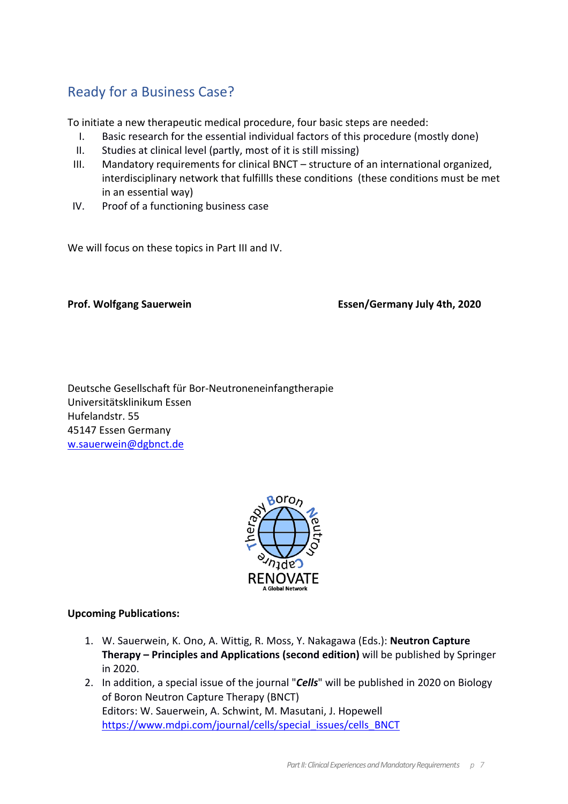# Ready for a Business Case?

To initiate a new therapeutic medical procedure, four basic steps are needed:

- I. Basic research for the essential individual factors of this procedure (mostly done)
- II. Studies at clinical level (partly, most of it is still missing)
- III. Mandatory requirements for clinical BNCT structure of an international organized, interdisciplinary network that fulfillls these conditions (these conditions must be met in an essential way)
- IV. Proof of a functioning business case

We will focus on these topics in Part III and IV.

**Prof. Wolfgang Sauerwein Essen/Germany July 4th, 2020**

Deutsche Gesellschaft für Bor-Neutroneneinfangtherapie Universitätsklinikum Essen Hufelandstr. 55 45147 Essen Germany w.sauerwein@dgbnct.de



## **Upcoming Publications:**

- 1. W. Sauerwein, K. Ono, A. Wittig, R. Moss, Y. Nakagawa (Eds.): **Neutron Capture Therapy – Principles and Applications (second edition)** will be published by Springer in 2020.
- 2. In addition, a special issue of the journal "*Cells*" will be published in 2020 on Biology of Boron Neutron Capture Therapy (BNCT) Editors: W. Sauerwein, A. Schwint, M. Masutani, J. Hopewell https://www.mdpi.com/journal/cells/special\_issues/cells\_BNCT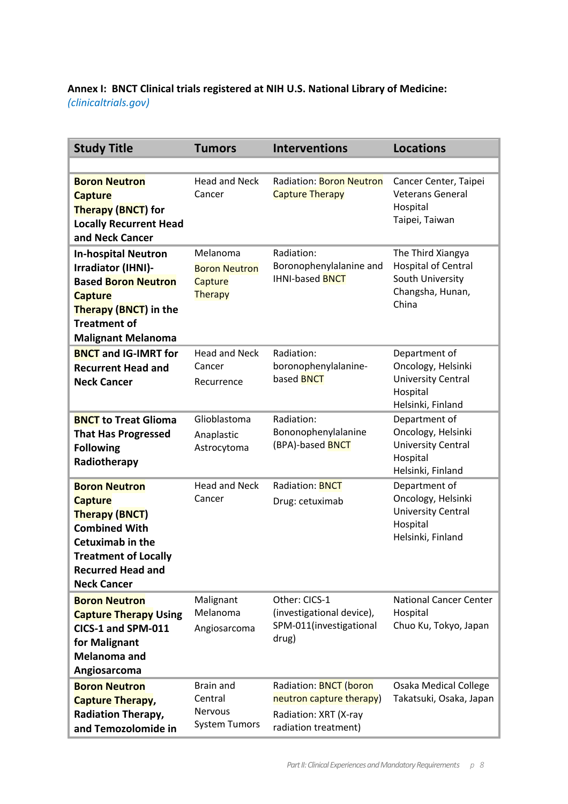# **Annex I: BNCT Clinical trials registered at NIH U.S. National Library of Medicine:** *(clinicaltrials.gov)*

| <b>Study Title</b>                                                                                                                                                                                  | <b>Tumors</b>                                                         | <b>Interventions</b>                                                                                       | <b>Locations</b>                                                                                  |
|-----------------------------------------------------------------------------------------------------------------------------------------------------------------------------------------------------|-----------------------------------------------------------------------|------------------------------------------------------------------------------------------------------------|---------------------------------------------------------------------------------------------------|
|                                                                                                                                                                                                     |                                                                       |                                                                                                            |                                                                                                   |
| <b>Boron Neutron</b><br><b>Capture</b><br><b>Therapy (BNCT) for</b><br><b>Locally Recurrent Head</b><br>and Neck Cancer                                                                             | <b>Head and Neck</b><br>Cancer                                        | <b>Radiation: Boron Neutron</b><br><b>Capture Therapy</b>                                                  | Cancer Center, Taipei<br><b>Veterans General</b><br>Hospital<br>Taipei, Taiwan                    |
| <b>In-hospital Neutron</b><br>Irradiator (IHNI)-<br><b>Based Boron Neutron</b><br><b>Capture</b><br><b>Therapy (BNCT)</b> in the<br><b>Treatment of</b><br><b>Malignant Melanoma</b>                | Melanoma<br><b>Boron Neutron</b><br>Capture<br>Therapy                | Radiation:<br>Boronophenylalanine and<br><b>IHNI-based BNCT</b>                                            | The Third Xiangya<br>Hospital of Central<br>South University<br>Changsha, Hunan,<br>China         |
| <b>BNCT</b> and IG-IMRT for<br><b>Recurrent Head and</b><br><b>Neck Cancer</b>                                                                                                                      | <b>Head and Neck</b><br>Cancer<br>Recurrence                          | Radiation:<br>boronophenylalanine-<br>based <b>BNCT</b>                                                    | Department of<br>Oncology, Helsinki<br><b>University Central</b><br>Hospital<br>Helsinki, Finland |
| <b>BNCT</b> to Treat Glioma<br><b>That Has Progressed</b><br><b>Following</b><br>Radiotherapy                                                                                                       | Glioblastoma<br>Anaplastic<br>Astrocytoma                             | Radiation:<br>Bononophenylalanine<br>(BPA)-based <b>BNCT</b>                                               | Department of<br>Oncology, Helsinki<br><b>University Central</b><br>Hospital<br>Helsinki, Finland |
| <b>Boron Neutron</b><br><b>Capture</b><br><b>Therapy (BNCT)</b><br><b>Combined With</b><br><b>Cetuximab in the</b><br><b>Treatment of Locally</b><br><b>Recurred Head and</b><br><b>Neck Cancer</b> | <b>Head and Neck</b><br>Cancer                                        | <b>Radiation: BNCT</b><br>Drug: cetuximab                                                                  | Department of<br>Oncology, Helsinki<br>University Central<br>Hospital<br>Helsinki, Finland        |
| <b>Boron Neutron</b><br><b>Capture Therapy Using</b><br>CICS-1 and SPM-011<br>for Malignant<br><b>Melanoma and</b><br>Angiosarcoma                                                                  | Malignant<br>Melanoma<br>Angiosarcoma                                 | Other: CICS-1<br>(investigational device),<br>SPM-011(investigational<br>drug)                             | <b>National Cancer Center</b><br>Hospital<br>Chuo Ku, Tokyo, Japan                                |
| <b>Boron Neutron</b><br><b>Capture Therapy,</b><br><b>Radiation Therapy,</b><br>and Temozolomide in                                                                                                 | <b>Brain and</b><br>Central<br><b>Nervous</b><br><b>System Tumors</b> | Radiation: <b>BNCT</b> (boron<br>neutron capture therapy)<br>Radiation: XRT (X-ray<br>radiation treatment) | <b>Osaka Medical College</b><br>Takatsuki, Osaka, Japan                                           |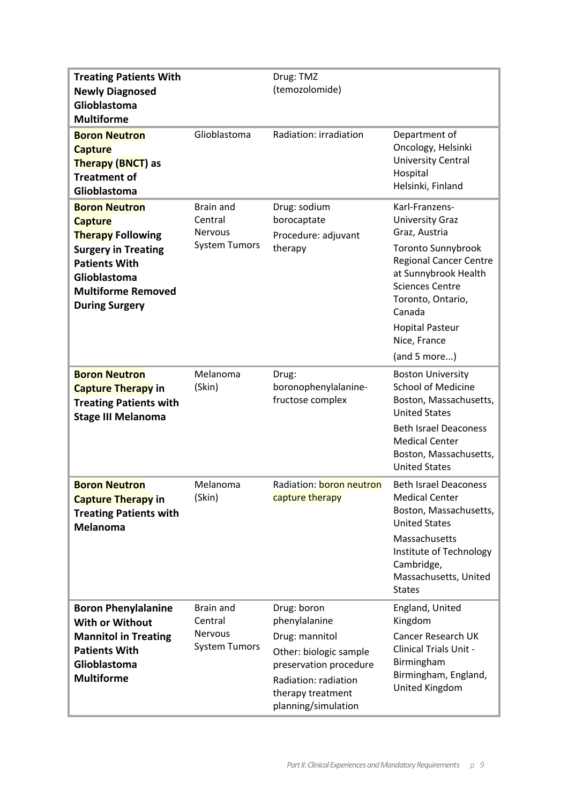| <b>Treating Patients With</b><br><b>Newly Diagnosed</b><br>Glioblastoma<br><b>Multiforme</b>                                                                                                   |                                                                       | Drug: TMZ<br>(temozolomide)                                                                                                                                            |                                                                                                                                                                                                                                                                    |
|------------------------------------------------------------------------------------------------------------------------------------------------------------------------------------------------|-----------------------------------------------------------------------|------------------------------------------------------------------------------------------------------------------------------------------------------------------------|--------------------------------------------------------------------------------------------------------------------------------------------------------------------------------------------------------------------------------------------------------------------|
| <b>Boron Neutron</b><br><b>Capture</b><br><b>Therapy (BNCT) as</b><br><b>Treatment of</b><br>Glioblastoma                                                                                      | Glioblastoma                                                          | Radiation: irradiation                                                                                                                                                 | Department of<br>Oncology, Helsinki<br>University Central<br>Hospital<br>Helsinki, Finland                                                                                                                                                                         |
| <b>Boron Neutron</b><br><b>Capture</b><br><b>Therapy Following</b><br><b>Surgery in Treating</b><br><b>Patients With</b><br>Glioblastoma<br><b>Multiforme Removed</b><br><b>During Surgery</b> | <b>Brain and</b><br>Central<br><b>Nervous</b><br><b>System Tumors</b> | Drug: sodium<br>borocaptate<br>Procedure: adjuvant<br>therapy                                                                                                          | Karl-Franzens-<br><b>University Graz</b><br>Graz, Austria<br><b>Toronto Sunnybrook</b><br><b>Regional Cancer Centre</b><br>at Sunnybrook Health<br><b>Sciences Centre</b><br>Toronto, Ontario,<br>Canada<br><b>Hopital Pasteur</b><br>Nice, France<br>(and 5 more) |
| <b>Boron Neutron</b><br><b>Capture Therapy in</b><br><b>Treating Patients with</b><br><b>Stage III Melanoma</b>                                                                                | Melanoma<br>(Skin)                                                    | Drug:<br>boronophenylalanine-<br>fructose complex                                                                                                                      | <b>Boston University</b><br><b>School of Medicine</b><br>Boston, Massachusetts,<br><b>United States</b><br><b>Beth Israel Deaconess</b><br><b>Medical Center</b><br>Boston, Massachusetts,<br><b>United States</b>                                                 |
| <b>Boron Neutron</b><br><b>Capture Therapy in</b><br><b>Treating Patients with</b><br><b>Melanoma</b>                                                                                          | Melanoma<br>(Skin)                                                    | Radiation: boron neutron<br>capture therapy                                                                                                                            | <b>Beth Israel Deaconess</b><br><b>Medical Center</b><br>Boston, Massachusetts,<br><b>United States</b><br>Massachusetts<br>Institute of Technology<br>Cambridge,<br>Massachusetts, United<br><b>States</b>                                                        |
| <b>Boron Phenylalanine</b><br><b>With or Without</b><br><b>Mannitol in Treating</b><br><b>Patients With</b><br>Glioblastoma<br><b>Multiforme</b>                                               | Brain and<br>Central<br><b>Nervous</b><br><b>System Tumors</b>        | Drug: boron<br>phenylalanine<br>Drug: mannitol<br>Other: biologic sample<br>preservation procedure<br>Radiation: radiation<br>therapy treatment<br>planning/simulation | England, United<br>Kingdom<br><b>Cancer Research UK</b><br><b>Clinical Trials Unit -</b><br>Birmingham<br>Birmingham, England,<br>United Kingdom                                                                                                                   |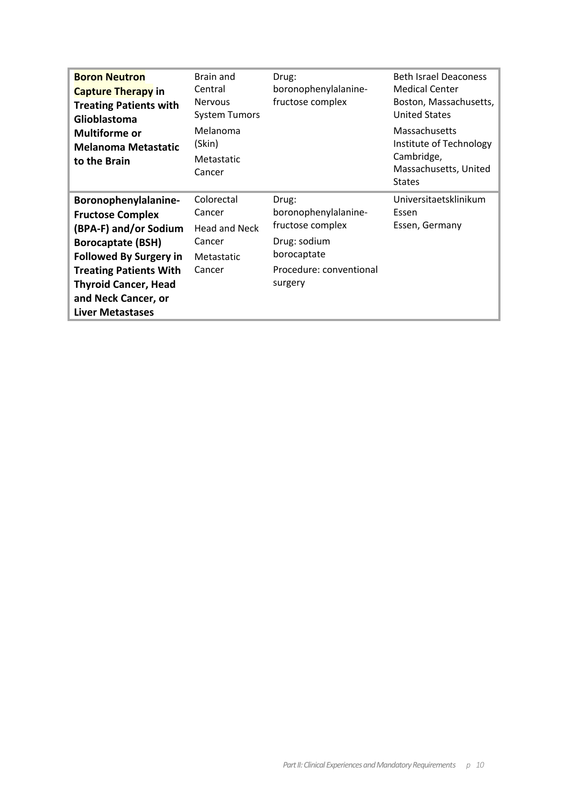| <b>Boron Neutron</b><br><b>Capture Therapy in</b><br><b>Treating Patients with</b><br>Glioblastoma | Brain and<br>Central<br><b>Nervous</b><br><b>System Tumors</b> | Drug:<br>boronophenylalanine-<br>fructose complex | <b>Beth Israel Deaconess</b><br><b>Medical Center</b><br>Boston, Massachusetts,<br><b>United States</b> |
|----------------------------------------------------------------------------------------------------|----------------------------------------------------------------|---------------------------------------------------|---------------------------------------------------------------------------------------------------------|
| <b>Multiforme or</b><br><b>Melanoma Metastatic</b><br>to the Brain                                 | Melanoma<br>(Skin)<br>Metastatic<br>Cancer                     |                                                   | Massachusetts<br>Institute of Technology<br>Cambridge,<br>Massachusetts, United<br><b>States</b>        |
| Boronophenylalanine-                                                                               | Colorectal                                                     | Drug:                                             | Universitaetsklinikum                                                                                   |
| <b>Fructose Complex</b>                                                                            | Cancer                                                         | boronophenylalanine-                              | Essen                                                                                                   |
| (BPA-F) and/or Sodium                                                                              | <b>Head and Neck</b>                                           | fructose complex                                  | Essen, Germany                                                                                          |
| <b>Borocaptate (BSH)</b>                                                                           | Cancer                                                         | Drug: sodium                                      |                                                                                                         |
| <b>Followed By Surgery in</b>                                                                      | Metastatic                                                     | borocaptate                                       |                                                                                                         |
| <b>Treating Patients With</b>                                                                      | Cancer                                                         | Procedure: conventional                           |                                                                                                         |
| <b>Thyroid Cancer, Head</b>                                                                        |                                                                | surgery                                           |                                                                                                         |
| and Neck Cancer, or                                                                                |                                                                |                                                   |                                                                                                         |
| <b>Liver Metastases</b>                                                                            |                                                                |                                                   |                                                                                                         |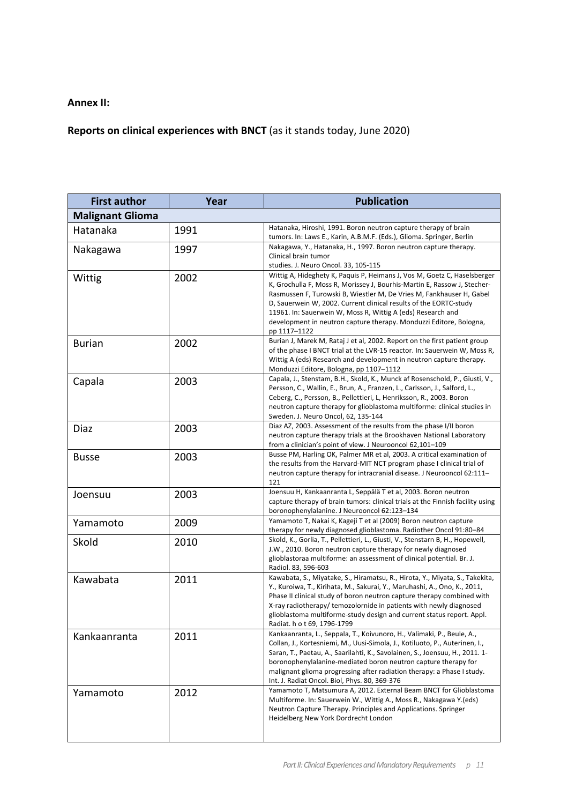## **Annex II:**

# **Reports on clinical experiences with BNCT** (as it stands today, June 2020)

| <b>First author</b>     | Year | <b>Publication</b>                                                                                                                                                                                                                                                                                                                                                                                                                                     |
|-------------------------|------|--------------------------------------------------------------------------------------------------------------------------------------------------------------------------------------------------------------------------------------------------------------------------------------------------------------------------------------------------------------------------------------------------------------------------------------------------------|
| <b>Malignant Glioma</b> |      |                                                                                                                                                                                                                                                                                                                                                                                                                                                        |
| Hatanaka                | 1991 | Hatanaka, Hiroshi, 1991. Boron neutron capture therapy of brain<br>tumors. In: Laws E., Karin, A.B.M.F. (Eds.), Glioma. Springer, Berlin                                                                                                                                                                                                                                                                                                               |
| Nakagawa                | 1997 | Nakagawa, Y., Hatanaka, H., 1997. Boron neutron capture therapy.<br>Clinical brain tumor<br>studies. J. Neuro Oncol. 33, 105-115                                                                                                                                                                                                                                                                                                                       |
| Wittig                  | 2002 | Wittig A, Hideghety K, Paquis P, Heimans J, Vos M, Goetz C, Haselsberger<br>K, Grochulla F, Moss R, Morissey J, Bourhis-Martin E, Rassow J, Stecher-<br>Rasmussen F, Turowski B, Wiestler M, De Vries M, Fankhauser H, Gabel<br>D, Sauerwein W, 2002. Current clinical results of the EORTC-study<br>11961. In: Sauerwein W, Moss R, Wittig A (eds) Research and<br>development in neutron capture therapy. Monduzzi Editore, Bologna,<br>pp 1117-1122 |
| <b>Burian</b>           | 2002 | Burian J, Marek M, Rataj J et al, 2002. Report on the first patient group<br>of the phase I BNCT trial at the LVR-15 reactor. In: Sauerwein W, Moss R,<br>Wittig A (eds) Research and development in neutron capture therapy.<br>Monduzzi Editore, Bologna, pp 1107-1112                                                                                                                                                                               |
| Capala                  | 2003 | Capala, J., Stenstam, B.H., Skold, K., Munck af Rosenschold, P., Giusti, V.,<br>Persson, C., Wallin, E., Brun, A., Franzen, L., Carlsson, J., Salford, L.,<br>Ceberg, C., Persson, B., Pellettieri, L, Henriksson, R., 2003. Boron<br>neutron capture therapy for glioblastoma multiforme: clinical studies in<br>Sweden. J. Neuro Oncol, 62, 135-144                                                                                                  |
| Diaz                    | 2003 | Diaz AZ, 2003. Assessment of the results from the phase I/II boron<br>neutron capture therapy trials at the Brookhaven National Laboratory<br>from a clinician's point of view. J Neurooncol 62,101-109                                                                                                                                                                                                                                                |
| <b>Busse</b>            | 2003 | Busse PM, Harling OK, Palmer MR et al, 2003. A critical examination of<br>the results from the Harvard-MIT NCT program phase I clinical trial of<br>neutron capture therapy for intracranial disease. J Neurooncol 62:111-<br>121                                                                                                                                                                                                                      |
| Joensuu                 | 2003 | Joensuu H, Kankaanranta L, Seppälä T et al, 2003. Boron neutron<br>capture therapy of brain tumors: clinical trials at the Finnish facility using<br>boronophenylalanine. J Neurooncol 62:123-134                                                                                                                                                                                                                                                      |
| Yamamoto                | 2009 | Yamamoto T, Nakai K, Kageji T et al (2009) Boron neutron capture<br>therapy for newly diagnosed glioblastoma. Radiother Oncol 91:80-84                                                                                                                                                                                                                                                                                                                 |
| Skold                   | 2010 | Skold, K., Gorlia, T., Pellettieri, L., Giusti, V., Stenstarn B, H., Hopewell,<br>J.W., 2010. Boron neutron capture therapy for newly diagnosed<br>glioblastoraa multiforme: an assessment of clinical potential. Br. J.<br>Radiol. 83, 596-603                                                                                                                                                                                                        |
| Kawabata                | 2011 | Kawabata, S., Miyatake, S., Hiramatsu, R., Hirota, Y., Miyata, S., Takekita,<br>Y., Kuroiwa, T., Kirihata, M., Sakurai, Y., Maruhashi, A., Ono, K., 2011,<br>Phase II clinical study of boron neutron capture therapy combined with<br>X-ray radiotherapy/ temozolornide in patients with newly diagnosed<br>glioblastoma multiforme-study design and current status report. Appl.<br>Radiat. h o t 69, 1796-1799                                      |
| Kankaanranta            | 2011 | Kankaanranta, L., Seppala, T., Koivunoro, H., Valimaki, P., Beule, A.,<br>Collan, J., Kortesniemi, M., Uusi-Simola, J., Kotiluoto, P., Auterinen, I.,<br>Saran, T., Paetau, A., Saarilahti, K., Savolainen, S., Joensuu, H., 2011. 1-<br>boronophenylalanine-mediated boron neutron capture therapy for<br>malignant glioma progressing after radiation therapy: a Phase I study.<br>Int. J. Radiat Oncol. Biol, Phys. 80, 369-376                     |
| Yamamoto                | 2012 | Yamamoto T, Matsumura A, 2012. External Beam BNCT for Glioblastoma<br>Multiforme. In: Sauerwein W., Wittig A., Moss R., Nakagawa Y. (eds)<br>Neutron Capture Therapy. Principles and Applications. Springer<br>Heidelberg New York Dordrecht London                                                                                                                                                                                                    |